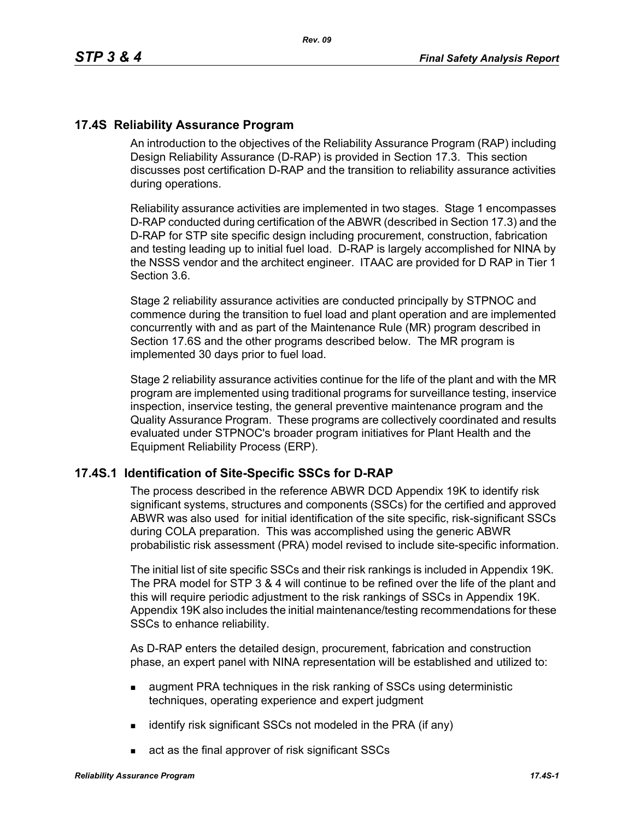# **17.4S Reliability Assurance Program**

An introduction to the objectives of the Reliability Assurance Program (RAP) including Design Reliability Assurance (D-RAP) is provided in Section 17.3. This section discusses post certification D-RAP and the transition to reliability assurance activities during operations.

Reliability assurance activities are implemented in two stages. Stage 1 encompasses D-RAP conducted during certification of the ABWR (described in Section 17.3) and the D-RAP for STP site specific design including procurement, construction, fabrication and testing leading up to initial fuel load. D-RAP is largely accomplished for NINA by the NSSS vendor and the architect engineer. ITAAC are provided for D RAP in Tier 1 Section 3.6.

Stage 2 reliability assurance activities are conducted principally by STPNOC and commence during the transition to fuel load and plant operation and are implemented concurrently with and as part of the Maintenance Rule (MR) program described in Section 17.6S and the other programs described below. The MR program is implemented 30 days prior to fuel load.

Stage 2 reliability assurance activities continue for the life of the plant and with the MR program are implemented using traditional programs for surveillance testing, inservice inspection, inservice testing, the general preventive maintenance program and the Quality Assurance Program. These programs are collectively coordinated and results evaluated under STPNOC's broader program initiatives for Plant Health and the Equipment Reliability Process (ERP).

#### **17.4S.1 Identification of Site-Specific SSCs for D-RAP**

The process described in the reference ABWR DCD Appendix 19K to identify risk significant systems, structures and components (SSCs) for the certified and approved ABWR was also used for initial identification of the site specific, risk-significant SSCs during COLA preparation. This was accomplished using the generic ABWR probabilistic risk assessment (PRA) model revised to include site-specific information.

The initial list of site specific SSCs and their risk rankings is included in Appendix 19K. The PRA model for STP 3 & 4 will continue to be refined over the life of the plant and this will require periodic adjustment to the risk rankings of SSCs in Appendix 19K. Appendix 19K also includes the initial maintenance/testing recommendations for these SSCs to enhance reliability.

As D-RAP enters the detailed design, procurement, fabrication and construction phase, an expert panel with NINA representation will be established and utilized to:

- **a** augment PRA techniques in the risk ranking of SSCs using deterministic techniques, operating experience and expert judgment
- $\blacksquare$  identify risk significant SSCs not modeled in the PRA (if any)
- act as the final approver of risk significant SSCs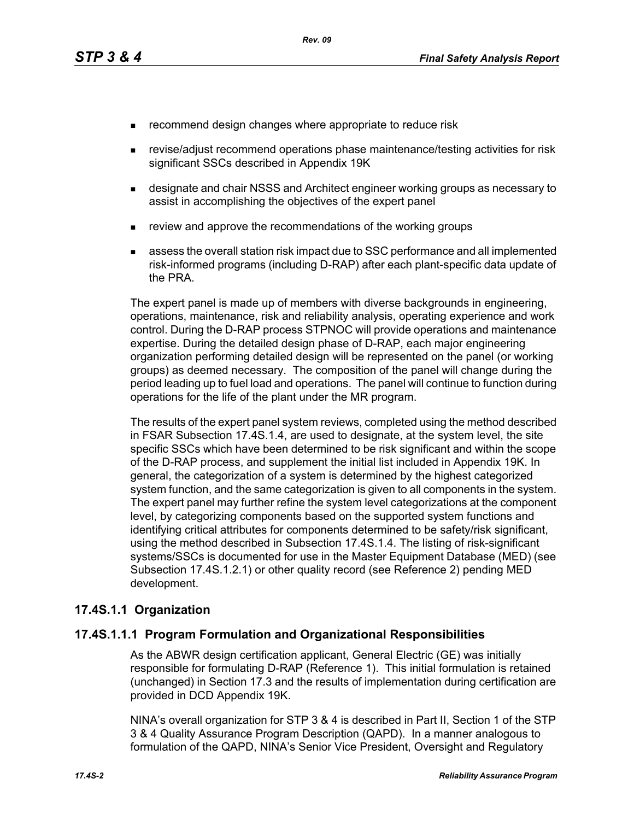- **EXECOMMENDERIGHT CHANGES** where appropriate to reduce risk
- revise/adjust recommend operations phase maintenance/testing activities for risk significant SSCs described in Appendix 19K
- **EXEDERITH** designate and chair NSSS and Architect engineer working groups as necessary to assist in accomplishing the objectives of the expert panel
- review and approve the recommendations of the working groups
- assess the overall station risk impact due to SSC performance and all implemented risk-informed programs (including D-RAP) after each plant-specific data update of the PRA.

The expert panel is made up of members with diverse backgrounds in engineering, operations, maintenance, risk and reliability analysis, operating experience and work control. During the D-RAP process STPNOC will provide operations and maintenance expertise. During the detailed design phase of D-RAP, each major engineering organization performing detailed design will be represented on the panel (or working groups) as deemed necessary. The composition of the panel will change during the period leading up to fuel load and operations. The panel will continue to function during operations for the life of the plant under the MR program.

The results of the expert panel system reviews, completed using the method described in FSAR Subsection 17.4S.1.4, are used to designate, at the system level, the site specific SSCs which have been determined to be risk significant and within the scope of the D-RAP process, and supplement the initial list included in Appendix 19K. In general, the categorization of a system is determined by the highest categorized system function, and the same categorization is given to all components in the system. The expert panel may further refine the system level categorizations at the component level, by categorizing components based on the supported system functions and identifying critical attributes for components determined to be safety/risk significant, using the method described in Subsection 17.4S.1.4. The listing of risk-significant systems/SSCs is documented for use in the Master Equipment Database (MED) (see Subsection 17.4S.1.2.1) or other quality record (see Reference 2) pending MED development.

#### **17.4S.1.1 Organization**

#### **17.4S.1.1.1 Program Formulation and Organizational Responsibilities**

As the ABWR design certification applicant, General Electric (GE) was initially responsible for formulating D-RAP (Reference 1). This initial formulation is retained (unchanged) in Section 17.3 and the results of implementation during certification are provided in DCD Appendix 19K.

NINA's overall organization for STP 3 & 4 is described in Part II, Section 1 of the STP 3 & 4 Quality Assurance Program Description (QAPD). In a manner analogous to formulation of the QAPD, NINA's Senior Vice President, Oversight and Regulatory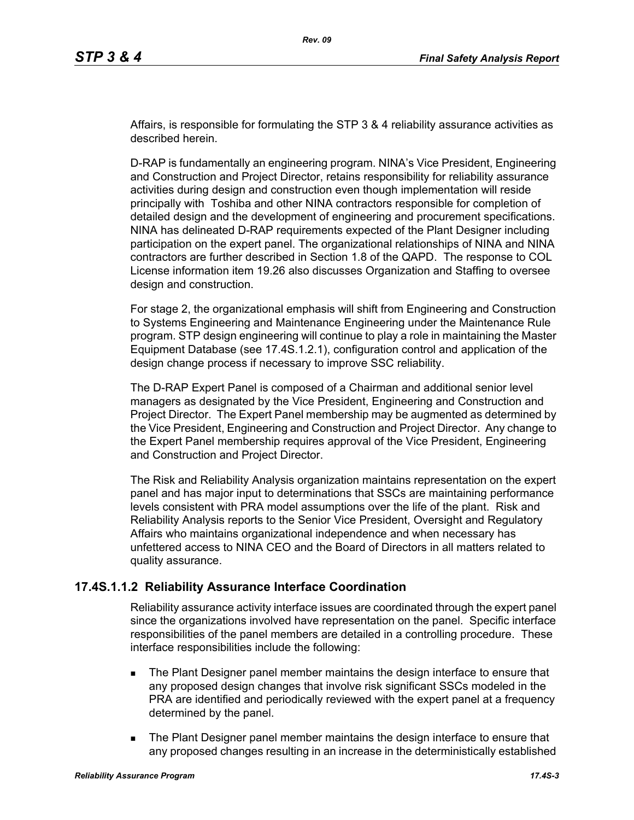Affairs, is responsible for formulating the STP 3 & 4 reliability assurance activities as described herein.

D-RAP is fundamentally an engineering program. NINA's Vice President, Engineering and Construction and Project Director, retains responsibility for reliability assurance activities during design and construction even though implementation will reside principally with Toshiba and other NINA contractors responsible for completion of detailed design and the development of engineering and procurement specifications. NINA has delineated D-RAP requirements expected of the Plant Designer including participation on the expert panel. The organizational relationships of NINA and NINA contractors are further described in Section 1.8 of the QAPD. The response to COL License information item 19.26 also discusses Organization and Staffing to oversee design and construction.

For stage 2, the organizational emphasis will shift from Engineering and Construction to Systems Engineering and Maintenance Engineering under the Maintenance Rule program. STP design engineering will continue to play a role in maintaining the Master Equipment Database (see 17.4S.1.2.1), configuration control and application of the design change process if necessary to improve SSC reliability.

The D-RAP Expert Panel is composed of a Chairman and additional senior level managers as designated by the Vice President, Engineering and Construction and Project Director. The Expert Panel membership may be augmented as determined by the Vice President, Engineering and Construction and Project Director. Any change to the Expert Panel membership requires approval of the Vice President, Engineering and Construction and Project Director.

The Risk and Reliability Analysis organization maintains representation on the expert panel and has major input to determinations that SSCs are maintaining performance levels consistent with PRA model assumptions over the life of the plant. Risk and Reliability Analysis reports to the Senior Vice President, Oversight and Regulatory Affairs who maintains organizational independence and when necessary has unfettered access to NINA CEO and the Board of Directors in all matters related to quality assurance.

# **17.4S.1.1.2 Reliability Assurance Interface Coordination**

Reliability assurance activity interface issues are coordinated through the expert panel since the organizations involved have representation on the panel. Specific interface responsibilities of the panel members are detailed in a controlling procedure. These interface responsibilities include the following:

- **The Plant Designer panel member maintains the design interface to ensure that** any proposed design changes that involve risk significant SSCs modeled in the PRA are identified and periodically reviewed with the expert panel at a frequency determined by the panel.
- **The Plant Designer panel member maintains the design interface to ensure that** any proposed changes resulting in an increase in the deterministically established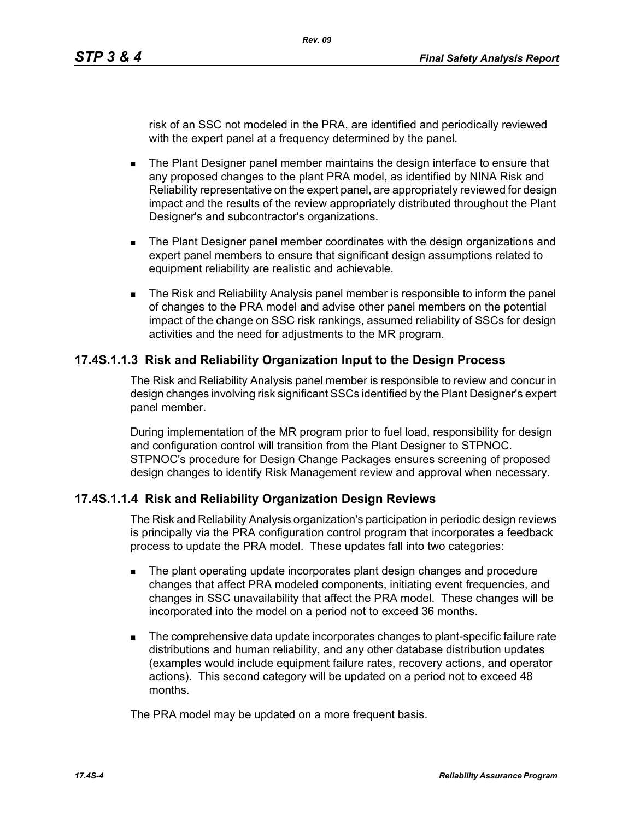risk of an SSC not modeled in the PRA, are identified and periodically reviewed with the expert panel at a frequency determined by the panel.

- **The Plant Designer panel member maintains the design interface to ensure that** any proposed changes to the plant PRA model, as identified by NINA Risk and Reliability representative on the expert panel, are appropriately reviewed for design impact and the results of the review appropriately distributed throughout the Plant Designer's and subcontractor's organizations.
- **The Plant Designer panel member coordinates with the design organizations and** expert panel members to ensure that significant design assumptions related to equipment reliability are realistic and achievable.
- The Risk and Reliability Analysis panel member is responsible to inform the panel of changes to the PRA model and advise other panel members on the potential impact of the change on SSC risk rankings, assumed reliability of SSCs for design activities and the need for adjustments to the MR program.

# **17.4S.1.1.3 Risk and Reliability Organization Input to the Design Process**

The Risk and Reliability Analysis panel member is responsible to review and concur in design changes involving risk significant SSCs identified by the Plant Designer's expert panel member.

During implementation of the MR program prior to fuel load, responsibility for design and configuration control will transition from the Plant Designer to STPNOC. STPNOC's procedure for Design Change Packages ensures screening of proposed design changes to identify Risk Management review and approval when necessary.

#### **17.4S.1.1.4 Risk and Reliability Organization Design Reviews**

The Risk and Reliability Analysis organization's participation in periodic design reviews is principally via the PRA configuration control program that incorporates a feedback process to update the PRA model. These updates fall into two categories:

- **The plant operating update incorporates plant design changes and procedure** changes that affect PRA modeled components, initiating event frequencies, and changes in SSC unavailability that affect the PRA model. These changes will be incorporated into the model on a period not to exceed 36 months.
- The comprehensive data update incorporates changes to plant-specific failure rate distributions and human reliability, and any other database distribution updates (examples would include equipment failure rates, recovery actions, and operator actions). This second category will be updated on a period not to exceed 48 months.

The PRA model may be updated on a more frequent basis.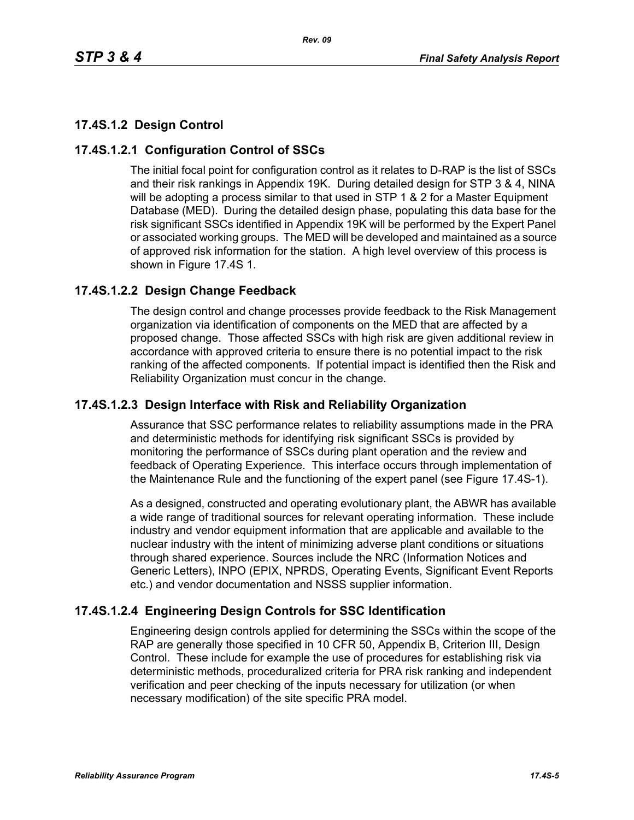# **17.4S.1.2 Design Control**

# **17.4S.1.2.1 Configuration Control of SSCs**

The initial focal point for configuration control as it relates to D-RAP is the list of SSCs and their risk rankings in Appendix 19K. During detailed design for STP 3 & 4, NINA will be adopting a process similar to that used in STP 1 & 2 for a Master Equipment Database (MED). During the detailed design phase, populating this data base for the risk significant SSCs identified in Appendix 19K will be performed by the Expert Panel or associated working groups. The MED will be developed and maintained as a source of approved risk information for the station. A high level overview of this process is shown in Figure 17.4S 1.

# **17.4S.1.2.2 Design Change Feedback**

The design control and change processes provide feedback to the Risk Management organization via identification of components on the MED that are affected by a proposed change. Those affected SSCs with high risk are given additional review in accordance with approved criteria to ensure there is no potential impact to the risk ranking of the affected components. If potential impact is identified then the Risk and Reliability Organization must concur in the change.

# **17.4S.1.2.3 Design Interface with Risk and Reliability Organization**

Assurance that SSC performance relates to reliability assumptions made in the PRA and deterministic methods for identifying risk significant SSCs is provided by monitoring the performance of SSCs during plant operation and the review and feedback of Operating Experience. This interface occurs through implementation of the Maintenance Rule and the functioning of the expert panel (see Figure 17.4S-1).

As a designed, constructed and operating evolutionary plant, the ABWR has available a wide range of traditional sources for relevant operating information. These include industry and vendor equipment information that are applicable and available to the nuclear industry with the intent of minimizing adverse plant conditions or situations through shared experience. Sources include the NRC (Information Notices and Generic Letters), INPO (EPIX, NPRDS, Operating Events, Significant Event Reports etc.) and vendor documentation and NSSS supplier information.

# **17.4S.1.2.4 Engineering Design Controls for SSC Identification**

Engineering design controls applied for determining the SSCs within the scope of the RAP are generally those specified in 10 CFR 50, Appendix B, Criterion III, Design Control. These include for example the use of procedures for establishing risk via deterministic methods, proceduralized criteria for PRA risk ranking and independent verification and peer checking of the inputs necessary for utilization (or when necessary modification) of the site specific PRA model.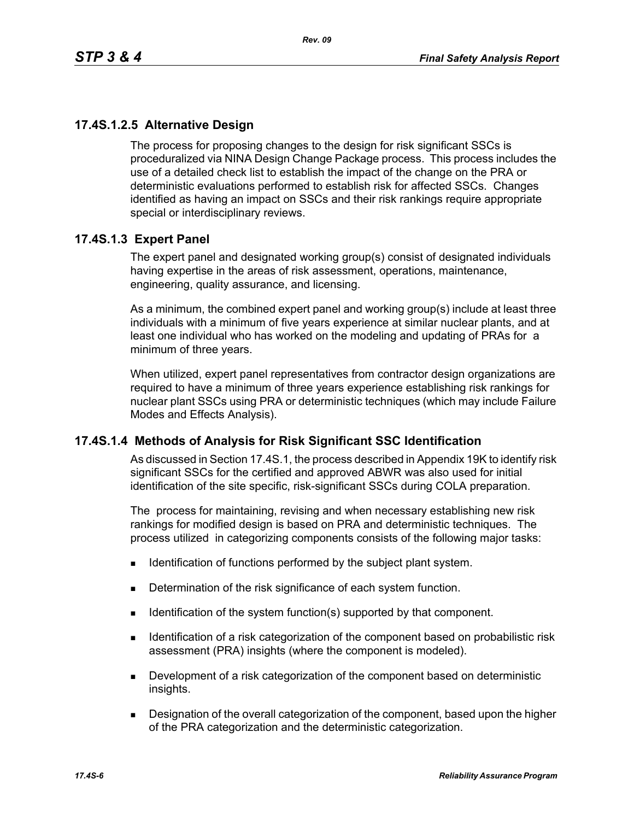# **17.4S.1.2.5 Alternative Design**

The process for proposing changes to the design for risk significant SSCs is proceduralized via NINA Design Change Package process. This process includes the use of a detailed check list to establish the impact of the change on the PRA or deterministic evaluations performed to establish risk for affected SSCs. Changes identified as having an impact on SSCs and their risk rankings require appropriate special or interdisciplinary reviews.

# **17.4S.1.3 Expert Panel**

The expert panel and designated working group(s) consist of designated individuals having expertise in the areas of risk assessment, operations, maintenance, engineering, quality assurance, and licensing.

As a minimum, the combined expert panel and working group(s) include at least three individuals with a minimum of five years experience at similar nuclear plants, and at least one individual who has worked on the modeling and updating of PRAs for a minimum of three years.

When utilized, expert panel representatives from contractor design organizations are required to have a minimum of three years experience establishing risk rankings for nuclear plant SSCs using PRA or deterministic techniques (which may include Failure Modes and Effects Analysis).

# **17.4S.1.4 Methods of Analysis for Risk Significant SSC Identification**

As discussed in Section 17.4S.1, the process described in Appendix 19K to identify risk significant SSCs for the certified and approved ABWR was also used for initial identification of the site specific, risk-significant SSCs during COLA preparation.

The process for maintaining, revising and when necessary establishing new risk rankings for modified design is based on PRA and deterministic techniques. The process utilized in categorizing components consists of the following major tasks:

- **IDENTIFICATE:** Identification of functions performed by the subject plant system.
- Determination of the risk significance of each system function.
- Identification of the system function(s) supported by that component.
- **IDENTIFY IDENTIFY IDENTIFY IS A THE LIGHT OF STATE IS A THE COMPORED IS A THE ISLE IS A THE ISL I** dentification of a risk assessment (PRA) insights (where the component is modeled).
- **Development of a risk categorization of the component based on deterministic** insights.
- **Designation of the overall categorization of the component, based upon the higher** of the PRA categorization and the deterministic categorization.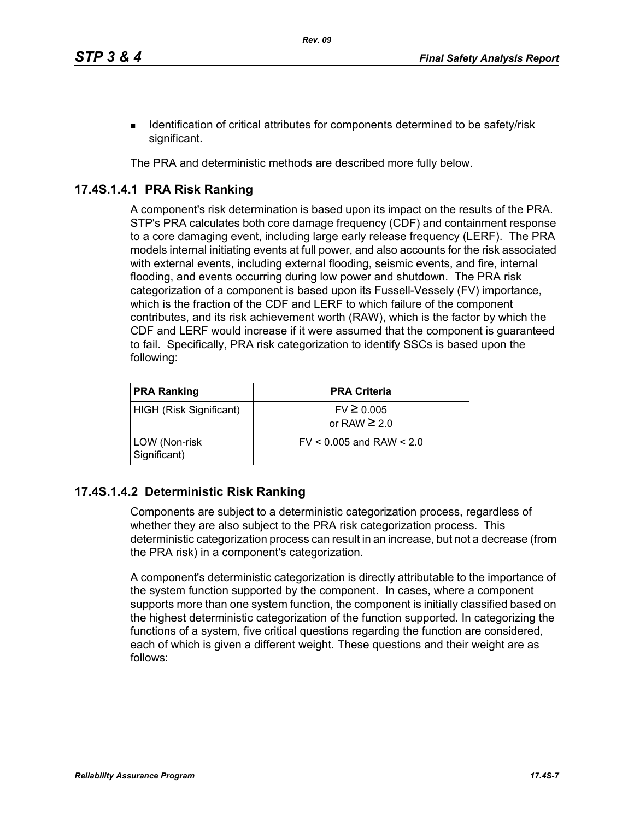**IDENTIFY IDENTIFY IDENTIFY IS A LOCATE IDENTIFY IS A LOCATE IDENTIFY IDENTIFY** IDENTIFY IS **I** dentification of critical attributes for components determined to be safety/risk significant.

The PRA and deterministic methods are described more fully below.

# **17.4S.1.4.1 PRA Risk Ranking**

A component's risk determination is based upon its impact on the results of the PRA. STP's PRA calculates both core damage frequency (CDF) and containment response to a core damaging event, including large early release frequency (LERF). The PRA models internal initiating events at full power, and also accounts for the risk associated with external events, including external flooding, seismic events, and fire, internal flooding, and events occurring during low power and shutdown. The PRA risk categorization of a component is based upon its Fussell-Vessely (FV) importance, which is the fraction of the CDF and LERF to which failure of the component contributes, and its risk achievement worth (RAW), which is the factor by which the CDF and LERF would increase if it were assumed that the component is guaranteed to fail. Specifically, PRA risk categorization to identify SSCs is based upon the following:

| <b>PRA Ranking</b>            | <b>PRA Criteria</b>                 |
|-------------------------------|-------------------------------------|
| HIGH (Risk Significant)       | $FV \ge 0.005$<br>or RAW $\geq 2.0$ |
| LOW (Non-risk<br>Significant) | $FV < 0.005$ and RAW $< 2.0$        |

# **17.4S.1.4.2 Deterministic Risk Ranking**

Components are subject to a deterministic categorization process, regardless of whether they are also subject to the PRA risk categorization process. This deterministic categorization process can result in an increase, but not a decrease (from the PRA risk) in a component's categorization.

A component's deterministic categorization is directly attributable to the importance of the system function supported by the component. In cases, where a component supports more than one system function, the component is initially classified based on the highest deterministic categorization of the function supported. In categorizing the functions of a system, five critical questions regarding the function are considered, each of which is given a different weight. These questions and their weight are as follows: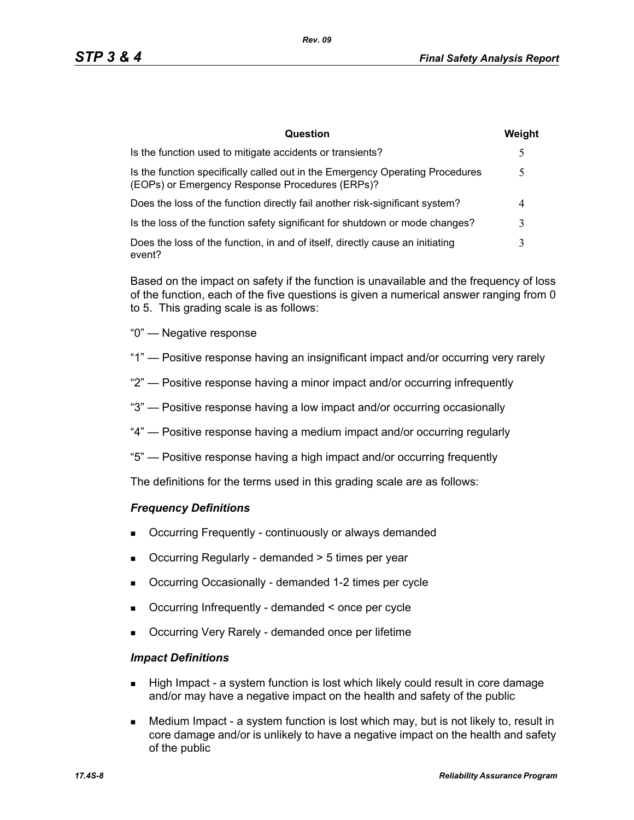| Question                                                                                                                         | Weight |
|----------------------------------------------------------------------------------------------------------------------------------|--------|
| Is the function used to mitigate accidents or transients?                                                                        | 5      |
| Is the function specifically called out in the Emergency Operating Procedures<br>(EOPs) or Emergency Response Procedures (ERPs)? |        |
| Does the loss of the function directly fail another risk-significant system?                                                     | 4      |
| Is the loss of the function safety significant for shutdown or mode changes?                                                     | 3      |
| Does the loss of the function, in and of itself, directly cause an initiating<br>event?                                          | 3      |

Based on the impact on safety if the function is unavailable and the frequency of loss of the function, each of the five questions is given a numerical answer ranging from 0 to 5. This grading scale is as follows:

- "0" Negative response
- "1" Positive response having an insignificant impact and/or occurring very rarely
- "2" Positive response having a minor impact and/or occurring infrequently
- "3" Positive response having a low impact and/or occurring occasionally
- "4" Positive response having a medium impact and/or occurring regularly
- "5" Positive response having a high impact and/or occurring frequently

The definitions for the terms used in this grading scale are as follows:

#### *Frequency Definitions*

- Occurring Frequently continuously or always demanded
- Occurring Regularly demanded > 5 times per year
- Occurring Occasionally demanded 1-2 times per cycle
- Occurring Infrequently demanded < once per cycle
- Occurring Very Rarely demanded once per lifetime

#### *Impact Definitions*

- High Impact a system function is lost which likely could result in core damage and/or may have a negative impact on the health and safety of the public
- Medium Impact a system function is lost which may, but is not likely to, result in core damage and/or is unlikely to have a negative impact on the health and safety of the public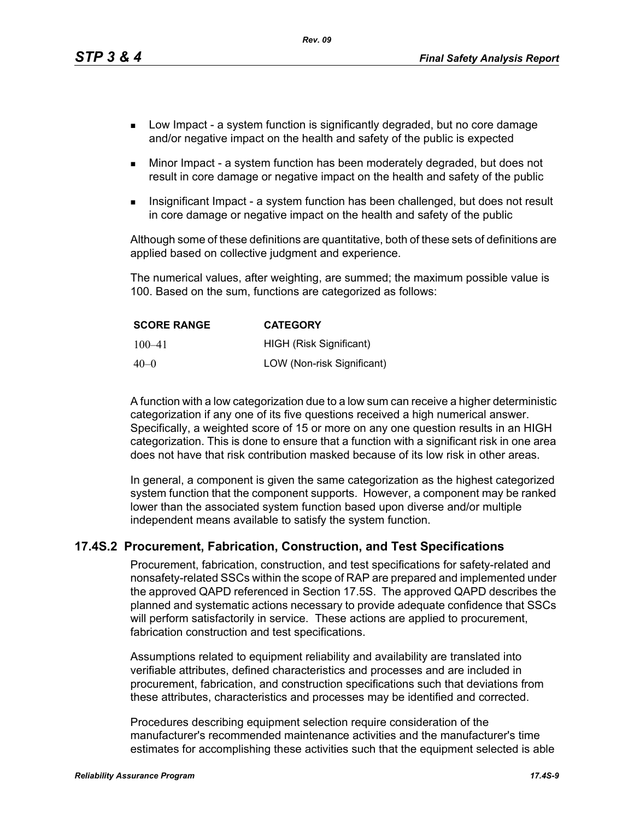*Rev. 09*

- **Low Impact a system function is significantly degraded, but no core damage** and/or negative impact on the health and safety of the public is expected
- Minor Impact a system function has been moderately degraded, but does not result in core damage or negative impact on the health and safety of the public
- Insignificant Impact a system function has been challenged, but does not result in core damage or negative impact on the health and safety of the public

Although some of these definitions are quantitative, both of these sets of definitions are applied based on collective judgment and experience.

The numerical values, after weighting, are summed; the maximum possible value is 100. Based on the sum, functions are categorized as follows:

| <b>SCORE RANGE</b> | <b>CATEGORY</b>            |
|--------------------|----------------------------|
| $100 - 41$         | HIGH (Risk Significant)    |
| $40 - 0$           | LOW (Non-risk Significant) |

A function with a low categorization due to a low sum can receive a higher deterministic categorization if any one of its five questions received a high numerical answer. Specifically, a weighted score of 15 or more on any one question results in an HIGH categorization. This is done to ensure that a function with a significant risk in one area does not have that risk contribution masked because of its low risk in other areas.

In general, a component is given the same categorization as the highest categorized system function that the component supports. However, a component may be ranked lower than the associated system function based upon diverse and/or multiple independent means available to satisfy the system function.

#### **17.4S.2 Procurement, Fabrication, Construction, and Test Specifications**

Procurement, fabrication, construction, and test specifications for safety-related and nonsafety-related SSCs within the scope of RAP are prepared and implemented under the approved QAPD referenced in Section 17.5S. The approved QAPD describes the planned and systematic actions necessary to provide adequate confidence that SSCs will perform satisfactorily in service. These actions are applied to procurement, fabrication construction and test specifications.

Assumptions related to equipment reliability and availability are translated into verifiable attributes, defined characteristics and processes and are included in procurement, fabrication, and construction specifications such that deviations from these attributes, characteristics and processes may be identified and corrected.

Procedures describing equipment selection require consideration of the manufacturer's recommended maintenance activities and the manufacturer's time estimates for accomplishing these activities such that the equipment selected is able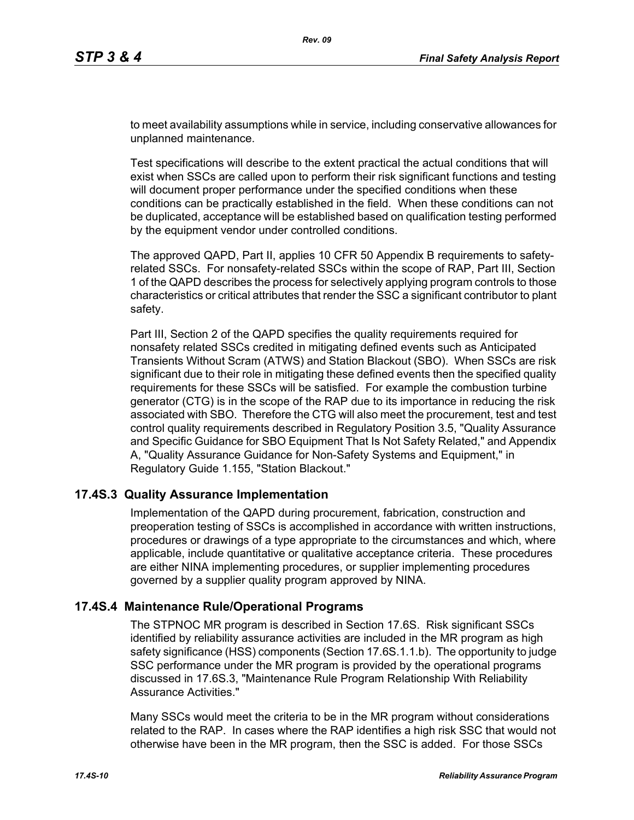to meet availability assumptions while in service, including conservative allowances for unplanned maintenance.

Test specifications will describe to the extent practical the actual conditions that will exist when SSCs are called upon to perform their risk significant functions and testing will document proper performance under the specified conditions when these conditions can be practically established in the field. When these conditions can not be duplicated, acceptance will be established based on qualification testing performed by the equipment vendor under controlled conditions.

The approved QAPD, Part II, applies 10 CFR 50 Appendix B requirements to safetyrelated SSCs. For nonsafety-related SSCs within the scope of RAP, Part III, Section 1 of the QAPD describes the process for selectively applying program controls to those characteristics or critical attributes that render the SSC a significant contributor to plant safety.

Part III, Section 2 of the QAPD specifies the quality requirements required for nonsafety related SSCs credited in mitigating defined events such as Anticipated Transients Without Scram (ATWS) and Station Blackout (SBO). When SSCs are risk significant due to their role in mitigating these defined events then the specified quality requirements for these SSCs will be satisfied. For example the combustion turbine generator (CTG) is in the scope of the RAP due to its importance in reducing the risk associated with SBO. Therefore the CTG will also meet the procurement, test and test control quality requirements described in Regulatory Position 3.5, "Quality Assurance and Specific Guidance for SBO Equipment That Is Not Safety Related," and Appendix A, "Quality Assurance Guidance for Non-Safety Systems and Equipment," in Regulatory Guide 1.155, "Station Blackout."

#### **17.4S.3 Quality Assurance Implementation**

Implementation of the QAPD during procurement, fabrication, construction and preoperation testing of SSCs is accomplished in accordance with written instructions, procedures or drawings of a type appropriate to the circumstances and which, where applicable, include quantitative or qualitative acceptance criteria. These procedures are either NINA implementing procedures, or supplier implementing procedures governed by a supplier quality program approved by NINA.

#### **17.4S.4 Maintenance Rule/Operational Programs**

The STPNOC MR program is described in Section 17.6S. Risk significant SSCs identified by reliability assurance activities are included in the MR program as high safety significance (HSS) components (Section 17.6S.1.1.b). The opportunity to judge SSC performance under the MR program is provided by the operational programs discussed in 17.6S.3, "Maintenance Rule Program Relationship With Reliability Assurance Activities."

Many SSCs would meet the criteria to be in the MR program without considerations related to the RAP. In cases where the RAP identifies a high risk SSC that would not otherwise have been in the MR program, then the SSC is added. For those SSCs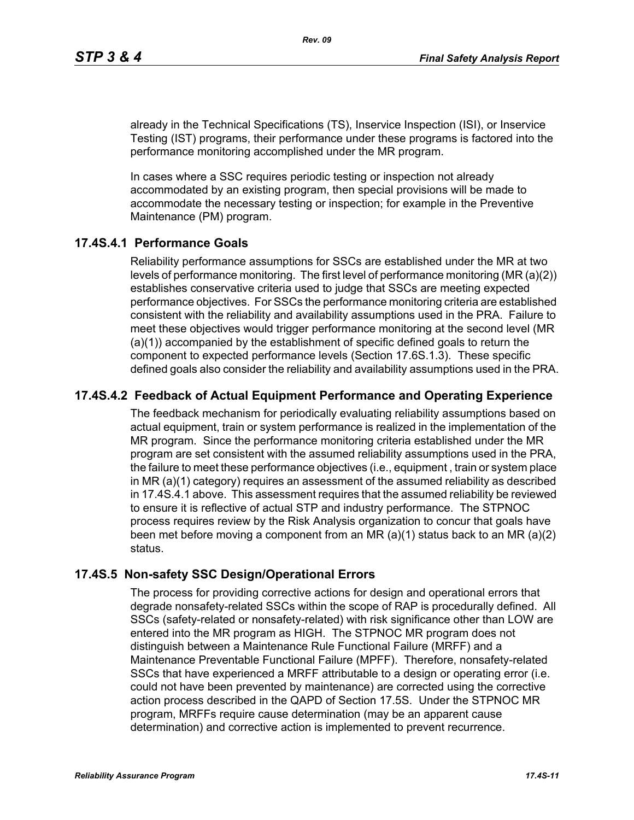already in the Technical Specifications (TS), Inservice Inspection (ISI), or Inservice Testing (IST) programs, their performance under these programs is factored into the performance monitoring accomplished under the MR program.

In cases where a SSC requires periodic testing or inspection not already accommodated by an existing program, then special provisions will be made to accommodate the necessary testing or inspection; for example in the Preventive Maintenance (PM) program.

### **17.4S.4.1 Performance Goals**

Reliability performance assumptions for SSCs are established under the MR at two levels of performance monitoring. The first level of performance monitoring (MR (a)(2)) establishes conservative criteria used to judge that SSCs are meeting expected performance objectives. For SSCs the performance monitoring criteria are established consistent with the reliability and availability assumptions used in the PRA. Failure to meet these objectives would trigger performance monitoring at the second level (MR (a)(1)) accompanied by the establishment of specific defined goals to return the component to expected performance levels (Section 17.6S.1.3). These specific defined goals also consider the reliability and availability assumptions used in the PRA.

# **17.4S.4.2 Feedback of Actual Equipment Performance and Operating Experience**

The feedback mechanism for periodically evaluating reliability assumptions based on actual equipment, train or system performance is realized in the implementation of the MR program. Since the performance monitoring criteria established under the MR program are set consistent with the assumed reliability assumptions used in the PRA, the failure to meet these performance objectives (i.e., equipment , train or system place in MR (a)(1) category) requires an assessment of the assumed reliability as described in 17.4S.4.1 above. This assessment requires that the assumed reliability be reviewed to ensure it is reflective of actual STP and industry performance. The STPNOC process requires review by the Risk Analysis organization to concur that goals have been met before moving a component from an MR (a)(1) status back to an MR (a)(2) status.

#### **17.4S.5 Non-safety SSC Design/Operational Errors**

The process for providing corrective actions for design and operational errors that degrade nonsafety-related SSCs within the scope of RAP is procedurally defined. All SSCs (safety-related or nonsafety-related) with risk significance other than LOW are entered into the MR program as HIGH. The STPNOC MR program does not distinguish between a Maintenance Rule Functional Failure (MRFF) and a Maintenance Preventable Functional Failure (MPFF). Therefore, nonsafety-related SSCs that have experienced a MRFF attributable to a design or operating error (i.e. could not have been prevented by maintenance) are corrected using the corrective action process described in the QAPD of Section 17.5S. Under the STPNOC MR program, MRFFs require cause determination (may be an apparent cause determination) and corrective action is implemented to prevent recurrence.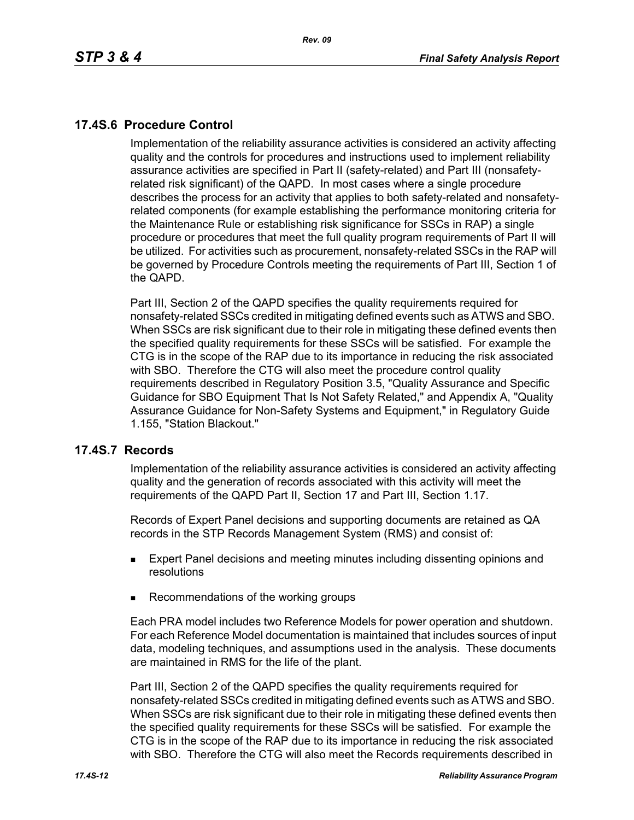# **17.4S.6 Procedure Control**

Implementation of the reliability assurance activities is considered an activity affecting quality and the controls for procedures and instructions used to implement reliability assurance activities are specified in Part II (safety-related) and Part III (nonsafetyrelated risk significant) of the QAPD. In most cases where a single procedure describes the process for an activity that applies to both safety-related and nonsafetyrelated components (for example establishing the performance monitoring criteria for the Maintenance Rule or establishing risk significance for SSCs in RAP) a single procedure or procedures that meet the full quality program requirements of Part II will be utilized. For activities such as procurement, nonsafety-related SSCs in the RAP will be governed by Procedure Controls meeting the requirements of Part III, Section 1 of the QAPD.

Part III, Section 2 of the QAPD specifies the quality requirements required for nonsafety-related SSCs credited in mitigating defined events such as ATWS and SBO. When SSCs are risk significant due to their role in mitigating these defined events then the specified quality requirements for these SSCs will be satisfied. For example the CTG is in the scope of the RAP due to its importance in reducing the risk associated with SBO. Therefore the CTG will also meet the procedure control quality requirements described in Regulatory Position 3.5, "Quality Assurance and Specific Guidance for SBO Equipment That Is Not Safety Related," and Appendix A, "Quality Assurance Guidance for Non-Safety Systems and Equipment," in Regulatory Guide 1.155, "Station Blackout."

#### **17.4S.7 Records**

Implementation of the reliability assurance activities is considered an activity affecting quality and the generation of records associated with this activity will meet the requirements of the QAPD Part II, Section 17 and Part III, Section 1.17.

Records of Expert Panel decisions and supporting documents are retained as QA records in the STP Records Management System (RMS) and consist of:

- **Expert Panel decisions and meeting minutes including dissenting opinions and** resolutions
- Recommendations of the working groups

Each PRA model includes two Reference Models for power operation and shutdown. For each Reference Model documentation is maintained that includes sources of input data, modeling techniques, and assumptions used in the analysis. These documents are maintained in RMS for the life of the plant.

Part III, Section 2 of the QAPD specifies the quality requirements required for nonsafety-related SSCs credited in mitigating defined events such as ATWS and SBO. When SSCs are risk significant due to their role in mitigating these defined events then the specified quality requirements for these SSCs will be satisfied. For example the CTG is in the scope of the RAP due to its importance in reducing the risk associated with SBO. Therefore the CTG will also meet the Records requirements described in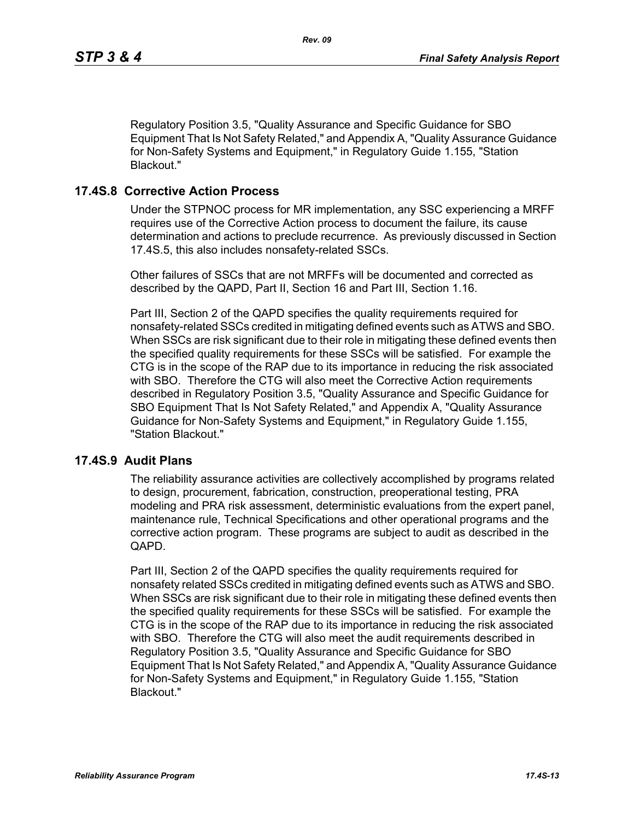Regulatory Position 3.5, "Quality Assurance and Specific Guidance for SBO Equipment That Is Not Safety Related," and Appendix A, "Quality Assurance Guidance for Non-Safety Systems and Equipment," in Regulatory Guide 1.155, "Station Blackout."

#### **17.4S.8 Corrective Action Process**

Under the STPNOC process for MR implementation, any SSC experiencing a MRFF requires use of the Corrective Action process to document the failure, its cause determination and actions to preclude recurrence. As previously discussed in Section 17.4S.5, this also includes nonsafety-related SSCs.

Other failures of SSCs that are not MRFFs will be documented and corrected as described by the QAPD, Part II, Section 16 and Part III, Section 1.16.

Part III, Section 2 of the QAPD specifies the quality requirements required for nonsafety-related SSCs credited in mitigating defined events such as ATWS and SBO. When SSCs are risk significant due to their role in mitigating these defined events then the specified quality requirements for these SSCs will be satisfied. For example the CTG is in the scope of the RAP due to its importance in reducing the risk associated with SBO. Therefore the CTG will also meet the Corrective Action requirements described in Regulatory Position 3.5, "Quality Assurance and Specific Guidance for SBO Equipment That Is Not Safety Related," and Appendix A, "Quality Assurance Guidance for Non-Safety Systems and Equipment," in Regulatory Guide 1.155, "Station Blackout."

#### **17.4S.9 Audit Plans**

The reliability assurance activities are collectively accomplished by programs related to design, procurement, fabrication, construction, preoperational testing, PRA modeling and PRA risk assessment, deterministic evaluations from the expert panel, maintenance rule, Technical Specifications and other operational programs and the corrective action program. These programs are subject to audit as described in the QAPD.

Part III, Section 2 of the QAPD specifies the quality requirements required for nonsafety related SSCs credited in mitigating defined events such as ATWS and SBO. When SSCs are risk significant due to their role in mitigating these defined events then the specified quality requirements for these SSCs will be satisfied. For example the CTG is in the scope of the RAP due to its importance in reducing the risk associated with SBO. Therefore the CTG will also meet the audit requirements described in Regulatory Position 3.5, "Quality Assurance and Specific Guidance for SBO Equipment That Is Not Safety Related," and Appendix A, "Quality Assurance Guidance for Non-Safety Systems and Equipment," in Regulatory Guide 1.155, "Station Blackout."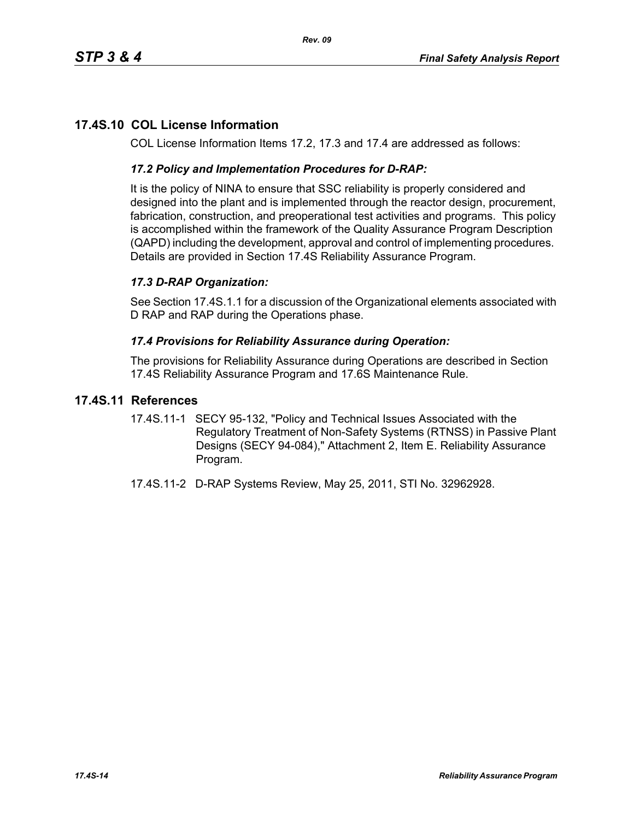# **17.4S.10 COL License Information**

COL License Information Items 17.2, 17.3 and 17.4 are addressed as follows:

### *17.2 Policy and Implementation Procedures for D-RAP:*

It is the policy of NINA to ensure that SSC reliability is properly considered and designed into the plant and is implemented through the reactor design, procurement, fabrication, construction, and preoperational test activities and programs. This policy is accomplished within the framework of the Quality Assurance Program Description (QAPD) including the development, approval and control of implementing procedures. Details are provided in Section 17.4S Reliability Assurance Program.

# *17.3 D-RAP Organization:*

See Section 17.4S.1.1 for a discussion of the Organizational elements associated with D RAP and RAP during the Operations phase.

#### *17.4 Provisions for Reliability Assurance during Operation:*

The provisions for Reliability Assurance during Operations are described in Section 17.4S Reliability Assurance Program and 17.6S Maintenance Rule.

### **17.4S.11 References**

- 17.4S.11-1 SECY 95-132, "Policy and Technical Issues Associated with the Regulatory Treatment of Non-Safety Systems (RTNSS) in Passive Plant Designs (SECY 94-084)," Attachment 2, Item E. Reliability Assurance Program.
- 17.4S.11-2 D-RAP Systems Review, May 25, 2011, STI No. 32962928.